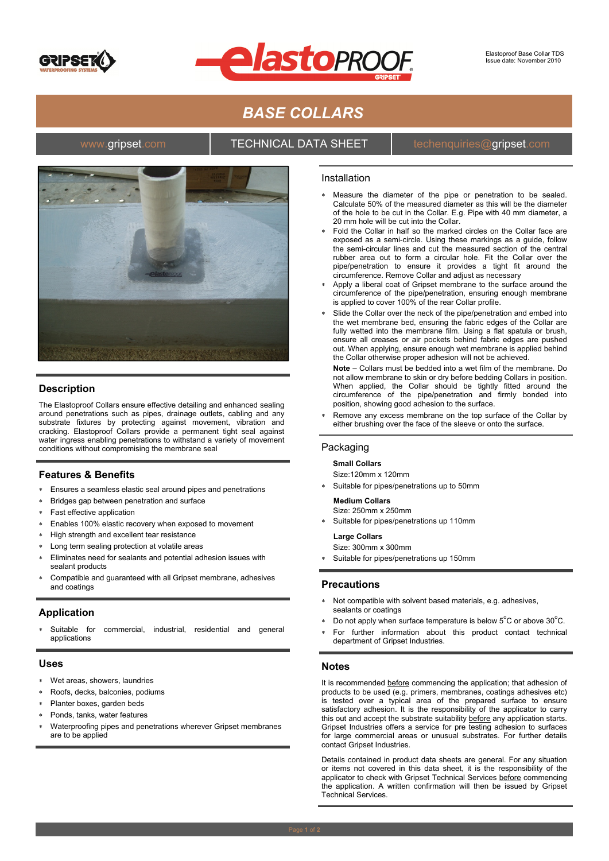



# *BASE COLLARS*

### www.gripset.com **TECHNICAL DATA SHEET** techenquiries@gripset.com



## **Description**

The Elastoproof Collars ensure effective detailing and enhanced sealing around penetrations such as pipes, drainage outlets, cabling and any substrate fixtures by protecting against movement, vibration and cracking. Elastoproof Collars provide a permanent tight seal against water ingress enabling penetrations to withstand a variety of movement conditions without compromising the membrane seal

## **Features & Benefits**

- Ensures a seamless elastic seal around pipes and penetrations
- Bridges gap between penetration and surface
- Fast effective application
- Enables 100% elastic recovery when exposed to movement
- High strength and excellent tear resistance
- Long term sealing protection at volatile areas
- Eliminates need for sealants and potential adhesion issues with sealant products
- Compatible and guaranteed with all Gripset membrane, adhesives and coatings

#### **Application**

Suitable for commercial, industrial, residential and general applications

#### **Uses**

- Wet areas, showers, laundries
- Roofs, decks, balconies, podiums
- Planter boxes, garden beds
- Ponds, tanks, water features
- Waterproofing pipes and penetrations wherever Gripset membranes are to be applied

#### Installation

- Measure the diameter of the pipe or penetration to be sealed. Calculate 50% of the measured diameter as this will be the diameter of the hole to be cut in the Collar. E.g. Pipe with 40 mm diameter, a 20 mm hole will be cut into the Collar.
- Fold the Collar in half so the marked circles on the Collar face are exposed as a semi-circle. Using these markings as a guide, follow the semi-circular lines and cut the measured section of the central rubber area out to form a circular hole. Fit the Collar over the pipe/penetration to ensure it provides a tight fit around the circumference. Remove Collar and adjust as necessary
- Apply a liberal coat of Gripset membrane to the surface around the circumference of the pipe/penetration, ensuring enough membrane is applied to cover 100% of the rear Collar profile.
- Slide the Collar over the neck of the pipe/penetration and embed into the wet membrane bed, ensuring the fabric edges of the Collar are fully wetted into the membrane film. Using a flat spatula or brush, ensure all creases or air pockets behind fabric edges are pushed out. When applying, ensure enough wet membrane is applied behind the Collar otherwise proper adhesion will not be achieved.

**Note** – Collars must be bedded into a wet film of the membrane. Do not allow membrane to skin or dry before bedding Collars in position. When applied, the Collar should be tightly fitted around the circumference of the pipe/penetration and firmly bonded into position, showing good adhesion to the surface.

 Remove any excess membrane on the top surface of the Collar by either brushing over the face of the sleeve or onto the surface.

#### **Packaging**

#### **Small Collars**

- Size:120mm x 120mm
- Suitable for pipes/penetrations up to 50mm

#### **Medium Collars**

- Size: 250mm x 250mm
- Suitable for pipes/penetrations up 110mm

#### **Large Collars**

Size: 300mm x 300mm

Suitable for pipes/penetrations up 150mm

#### **Precautions**

- Not compatible with solvent based materials, e.g. adhesives, sealants or coatings
- $\bullet$  Do not apply when surface temperature is below  $5^{\circ}$ C or above 30 $^{\circ}$ C.
- For further information about this product contact technical department of Gripset Industries.

#### **Notes**

It is recommended before commencing the application; that adhesion of products to be used (e.g. primers, membranes, coatings adhesives etc) is tested over a typical area of the prepared surface to ensure satisfactory adhesion. It is the responsibility of the applicator to carry this out and accept the substrate suitability before any application starts. Gripset Industries offers a service for pre testing adhesion to surfaces for large commercial areas or unusual substrates. For further details contact Gripset Industries.

Details contained in product data sheets are general. For any situation or items not covered in this data sheet, it is the responsibility of the applicator to check with Gripset Technical Services before commencing the application. A written confirmation will then be issued by Gripset Technical Services.